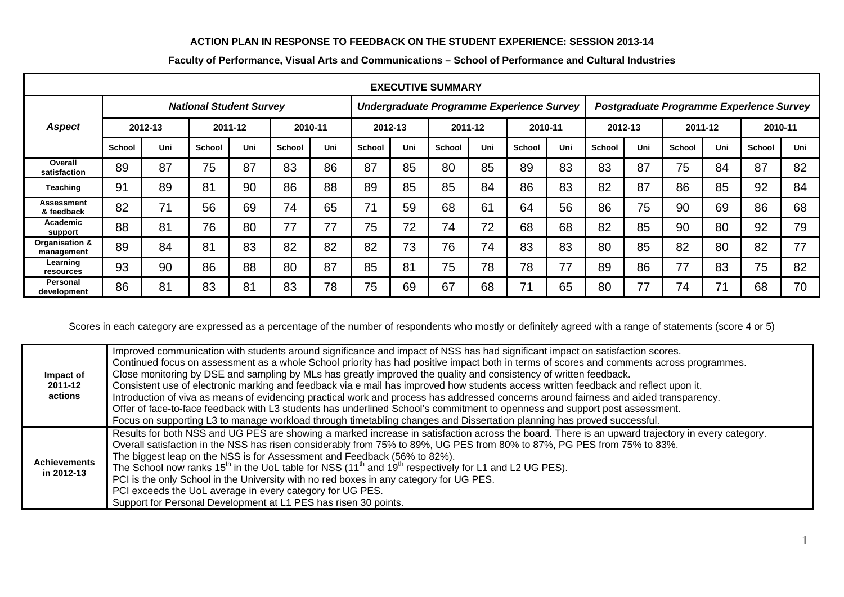## **ACTION PLAN IN RESPONSE TO FEEDBACK ON THE STUDENT EXPERIENCE: SESSION 2013-14**

| <b>EXECUTIVE SUMMARY</b>        |                                |     |               |     |               |                                           |         |     |               |     |                                          |     |               |     |               |     |               |     |
|---------------------------------|--------------------------------|-----|---------------|-----|---------------|-------------------------------------------|---------|-----|---------------|-----|------------------------------------------|-----|---------------|-----|---------------|-----|---------------|-----|
| Aspect                          | <b>National Student Survey</b> |     |               |     |               | Undergraduate Programme Experience Survey |         |     |               |     | Postgraduate Programme Experience Survey |     |               |     |               |     |               |     |
|                                 | 2012-13                        |     | 2011-12       |     | 2010-11       |                                           | 2012-13 |     | 2011-12       |     | 2010-11                                  |     | 2012-13       |     | 2011-12       |     | 2010-11       |     |
|                                 | <b>School</b>                  | Uni | <b>School</b> | Uni | <b>School</b> | Uni                                       | School  | Uni | <b>School</b> | Uni | School                                   | Uni | <b>School</b> | Uni | <b>School</b> | Uni | <b>School</b> | Uni |
| Overall<br>satisfaction         | 89                             | 87  | 75            | 87  | 83            | 86                                        | 87      | 85  | 80            | 85  | 89                                       | 83  | 83            | 87  | 75            | 84  | 87            | 82  |
| Teaching                        | 91                             | 89  | 81            | 90  | 86            | 88                                        | 89      | 85  | 85            | 84  | 86                                       | 83  | 82            | 87  | 86            | 85  | 92            | 84  |
| <b>Assessment</b><br>& feedback | 82                             | 74  | 56            | 69  | 74            | 65                                        | 71      | 59  | 68            | 61  | 64                                       | 56  | 86            | 75  | 90            | 69  | 86            | 68  |
| Academic<br>support             | 88                             | 81  | 76            | 80  | 77            | 77                                        | 75      | 72  | 74            | 72  | 68                                       | 68  | 82            | 85  | 90            | 80  | 92            | 79  |
| Organisation &<br>management    | 89                             | 84  | 81            | 83  | 82            | 82                                        | 82      | 73  | 76            | 74  | 83                                       | 83  | 80            | 85  | 82            | 80  | 82            | 77  |
| Learning<br>resources           | 93                             | 90  | 86            | 88  | 80            | 87                                        | 85      | 81  | 75            | 78  | 78                                       | 77  | 89            | 86  | 77            | 83  | 75            | 82  |
| Personal<br>development         | 86                             | 81  | 83            | 81  | 83            | 78                                        | 75      | 69  | 67            | 68  |                                          | 65  | 80            | 77  | 74            | 71  | 68            | 70  |

## **Faculty of Performance, Visual Arts and Communications – School of Performance and Cultural Industries**

Scores in each category are expressed as a percentage of the number of respondents who mostly or definitely agreed with a range of statements (score 4 or 5)

| Impact of<br>2011-12<br>actions   | Improved communication with students around significance and impact of NSS has had significant impact on satisfaction scores.<br>Continued focus on assessment as a whole School priority has had positive impact both in terms of scores and comments across programmes.<br>Close monitoring by DSE and sampling by MLs has greatly improved the quality and consistency of written feedback.<br>Consistent use of electronic marking and feedback via e mail has improved how students access written feedback and reflect upon it.<br>Introduction of viva as means of evidencing practical work and process has addressed concerns around fairness and aided transparency.<br>Offer of face-to-face feedback with L3 students has underlined School's commitment to openness and support post assessment.<br>Focus on supporting L3 to manage workload through timetabling changes and Dissertation planning has proved successful. |
|-----------------------------------|-----------------------------------------------------------------------------------------------------------------------------------------------------------------------------------------------------------------------------------------------------------------------------------------------------------------------------------------------------------------------------------------------------------------------------------------------------------------------------------------------------------------------------------------------------------------------------------------------------------------------------------------------------------------------------------------------------------------------------------------------------------------------------------------------------------------------------------------------------------------------------------------------------------------------------------------|
| <b>Achievements</b><br>in 2012-13 | Results for both NSS and UG PES are showing a marked increase in satisfaction across the board. There is an upward trajectory in every category.<br>Overall satisfaction in the NSS has risen considerably from 75% to 89%, UG PES from 80% to 87%, PG PES from 75% to 83%.<br>The biggest leap on the NSS is for Assessment and Feedback (56% to 82%).<br>The School now ranks $15th$ in the UoL table for NSS $(11th$ and $19th$ respectively for L1 and L2 UG PES).<br>PCI is the only School in the University with no red boxes in any category for UG PES.<br>PCI exceeds the UoL average in every category for UG PES.<br>Support for Personal Development at L1 PES has risen 30 points.                                                                                                                                                                                                                                        |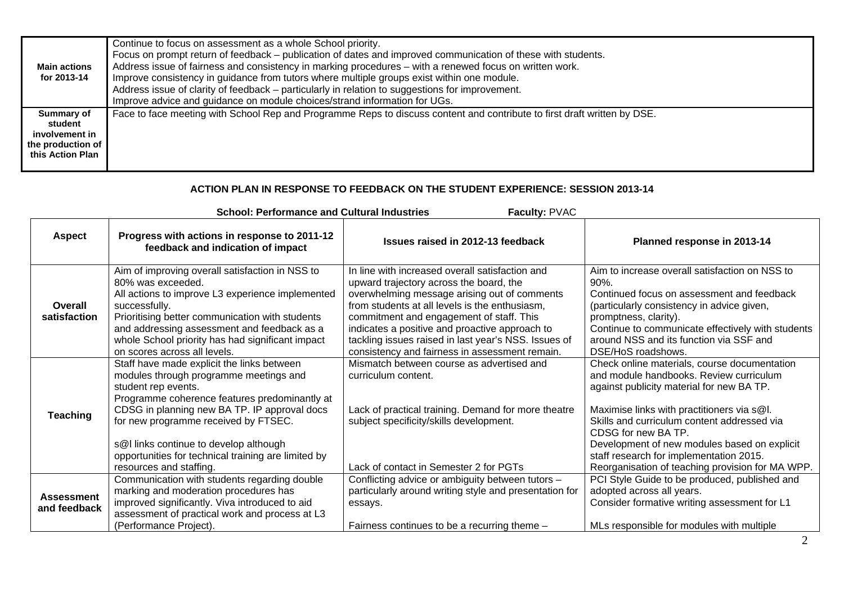| <b>Main actions</b><br>for 2013-14                                               | Continue to focus on assessment as a whole School priority.<br>Focus on prompt return of feedback – publication of dates and improved communication of these with students.<br>Address issue of fairness and consistency in marking procedures – with a renewed focus on written work.<br>Improve consistency in guidance from tutors where multiple groups exist within one module.<br>Address issue of clarity of feedback – particularly in relation to suggestions for improvement.<br>Improve advice and guidance on module choices/strand information for UGs. |
|----------------------------------------------------------------------------------|----------------------------------------------------------------------------------------------------------------------------------------------------------------------------------------------------------------------------------------------------------------------------------------------------------------------------------------------------------------------------------------------------------------------------------------------------------------------------------------------------------------------------------------------------------------------|
| Summary of<br>student<br>involvement in<br>the production of<br>this Action Plan | Face to face meeting with School Rep and Programme Reps to discuss content and contribute to first draft written by DSE.                                                                                                                                                                                                                                                                                                                                                                                                                                             |

## **ACTION PLAN IN RESPONSE TO FEEDBACK ON THE STUDENT EXPERIENCE: SESSION 2013-14**

| Faculty: PVAC<br><b>School: Performance and Cultural Industries</b> |                                                                                                                                                                                                                                                                                                                                                                                  |                                                                                                                                                                                                                                                                                                                                                                                                      |                                                                                                                                                                                                                                                                                                                                                                                                         |  |  |  |  |  |
|---------------------------------------------------------------------|----------------------------------------------------------------------------------------------------------------------------------------------------------------------------------------------------------------------------------------------------------------------------------------------------------------------------------------------------------------------------------|------------------------------------------------------------------------------------------------------------------------------------------------------------------------------------------------------------------------------------------------------------------------------------------------------------------------------------------------------------------------------------------------------|---------------------------------------------------------------------------------------------------------------------------------------------------------------------------------------------------------------------------------------------------------------------------------------------------------------------------------------------------------------------------------------------------------|--|--|--|--|--|
| <b>Aspect</b>                                                       | Progress with actions in response to 2011-12<br>feedback and indication of impact                                                                                                                                                                                                                                                                                                | Issues raised in 2012-13 feedback                                                                                                                                                                                                                                                                                                                                                                    | Planned response in 2013-14                                                                                                                                                                                                                                                                                                                                                                             |  |  |  |  |  |
| Overall<br>satisfaction                                             | Aim of improving overall satisfaction in NSS to<br>80% was exceeded.<br>All actions to improve L3 experience implemented<br>successfully.<br>Prioritising better communication with students<br>and addressing assessment and feedback as a<br>whole School priority has had significant impact<br>on scores across all levels.                                                  | In line with increased overall satisfaction and<br>upward trajectory across the board, the<br>overwhelming message arising out of comments<br>from students at all levels is the enthusiasm,<br>commitment and engagement of staff. This<br>indicates a positive and proactive approach to<br>tackling issues raised in last year's NSS. Issues of<br>consistency and fairness in assessment remain. | Aim to increase overall satisfaction on NSS to<br>$90\%$ .<br>Continued focus on assessment and feedback<br>(particularly consistency in advice given,<br>promptness, clarity).<br>Continue to communicate effectively with students<br>around NSS and its function via SSF and<br>DSE/HoS roadshows.                                                                                                   |  |  |  |  |  |
| <b>Teaching</b>                                                     | Staff have made explicit the links between<br>modules through programme meetings and<br>student rep events.<br>Programme coherence features predominantly at<br>CDSG in planning new BA TP. IP approval docs<br>for new programme received by FTSEC.<br>s@I links continue to develop although<br>opportunities for technical training are limited by<br>resources and staffing. | Mismatch between course as advertised and<br>curriculum content.<br>Lack of practical training. Demand for more theatre<br>subject specificity/skills development.<br>Lack of contact in Semester 2 for PGTs                                                                                                                                                                                         | Check online materials, course documentation<br>and module handbooks. Review curriculum<br>against publicity material for new BA TP.<br>Maximise links with practitioners via s@l.<br>Skills and curriculum content addressed via<br>CDSG for new BA TP.<br>Development of new modules based on explicit<br>staff research for implementation 2015.<br>Reorganisation of teaching provision for MA WPP. |  |  |  |  |  |
| <b>Assessment</b><br>and feedback                                   | Communication with students regarding double<br>marking and moderation procedures has<br>improved significantly. Viva introduced to aid<br>assessment of practical work and process at L3<br>(Performance Project).                                                                                                                                                              | Conflicting advice or ambiguity between tutors -<br>particularly around writing style and presentation for<br>essays.<br>Fairness continues to be a recurring theme -                                                                                                                                                                                                                                | PCI Style Guide to be produced, published and<br>adopted across all years.<br>Consider formative writing assessment for L1<br>MLs responsible for modules with multiple                                                                                                                                                                                                                                 |  |  |  |  |  |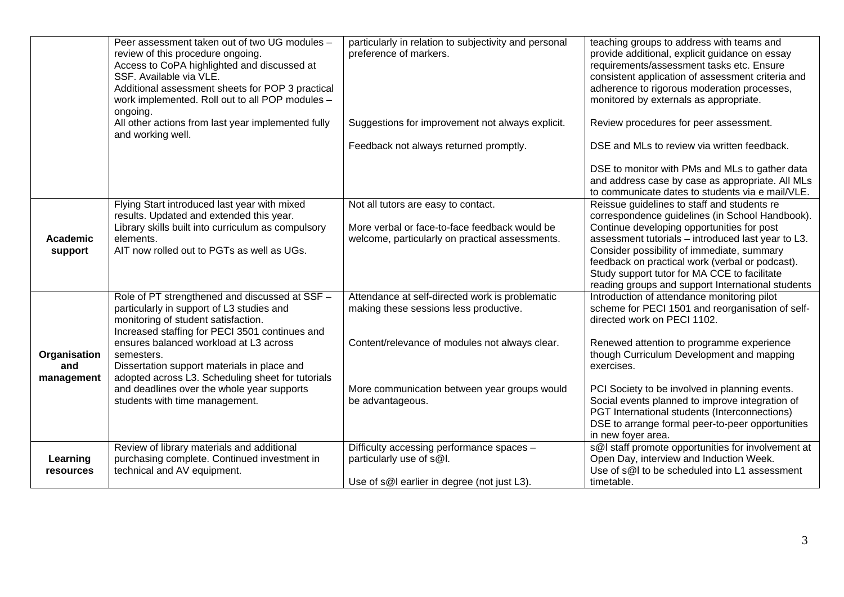|                                   | Peer assessment taken out of two UG modules -<br>review of this procedure ongoing.<br>Access to CoPA highlighted and discussed at<br>SSF. Available via VLE.<br>Additional assessment sheets for POP 3 practical<br>work implemented. Roll out to all POP modules -<br>ongoing. | particularly in relation to subjectivity and personal<br>preference of markers.                                      | teaching groups to address with teams and<br>provide additional, explicit guidance on essay<br>requirements/assessment tasks etc. Ensure<br>consistent application of assessment criteria and<br>adherence to rigorous moderation processes,<br>monitored by externals as appropriate. |
|-----------------------------------|---------------------------------------------------------------------------------------------------------------------------------------------------------------------------------------------------------------------------------------------------------------------------------|----------------------------------------------------------------------------------------------------------------------|----------------------------------------------------------------------------------------------------------------------------------------------------------------------------------------------------------------------------------------------------------------------------------------|
|                                   | All other actions from last year implemented fully<br>and working well.                                                                                                                                                                                                         | Suggestions for improvement not always explicit.                                                                     | Review procedures for peer assessment.                                                                                                                                                                                                                                                 |
|                                   |                                                                                                                                                                                                                                                                                 | Feedback not always returned promptly.                                                                               | DSE and MLs to review via written feedback.                                                                                                                                                                                                                                            |
|                                   |                                                                                                                                                                                                                                                                                 |                                                                                                                      | DSE to monitor with PMs and MLs to gather data<br>and address case by case as appropriate. All MLs<br>to communicate dates to students via e mail/VLE.                                                                                                                                 |
|                                   | Flying Start introduced last year with mixed<br>results. Updated and extended this year.<br>Library skills built into curriculum as compulsory                                                                                                                                  | Not all tutors are easy to contact.<br>More verbal or face-to-face feedback would be                                 | Reissue guidelines to staff and students re<br>correspondence guidelines (in School Handbook).<br>Continue developing opportunities for post                                                                                                                                           |
| Academic<br>support               | elements.<br>AIT now rolled out to PGTs as well as UGs.                                                                                                                                                                                                                         | welcome, particularly on practical assessments.                                                                      | assessment tutorials - introduced last year to L3.<br>Consider possibility of immediate, summary<br>feedback on practical work (verbal or podcast).<br>Study support tutor for MA CCE to facilitate<br>reading groups and support International students                               |
|                                   | Role of PT strengthened and discussed at SSF -<br>particularly in support of L3 studies and<br>monitoring of student satisfaction.<br>Increased staffing for PECI 3501 continues and                                                                                            | Attendance at self-directed work is problematic<br>making these sessions less productive.                            | Introduction of attendance monitoring pilot<br>scheme for PECI 1501 and reorganisation of self-<br>directed work on PECI 1102.                                                                                                                                                         |
| Organisation<br>and<br>management | ensures balanced workload at L3 across<br>semesters.<br>Dissertation support materials in place and<br>adopted across L3. Scheduling sheet for tutorials                                                                                                                        | Content/relevance of modules not always clear.                                                                       | Renewed attention to programme experience<br>though Curriculum Development and mapping<br>exercises.                                                                                                                                                                                   |
|                                   | and deadlines over the whole year supports<br>students with time management.                                                                                                                                                                                                    | More communication between year groups would<br>be advantageous.                                                     | PCI Society to be involved in planning events.<br>Social events planned to improve integration of<br>PGT International students (Interconnections)<br>DSE to arrange formal peer-to-peer opportunities<br>in new foyer area.                                                           |
| Learning<br>resources             | Review of library materials and additional<br>purchasing complete. Continued investment in<br>technical and AV equipment.                                                                                                                                                       | Difficulty accessing performance spaces -<br>particularly use of s@l.<br>Use of s@I earlier in degree (not just L3). | s@I staff promote opportunities for involvement at<br>Open Day, interview and Induction Week.<br>Use of s@I to be scheduled into L1 assessment<br>timetable.                                                                                                                           |